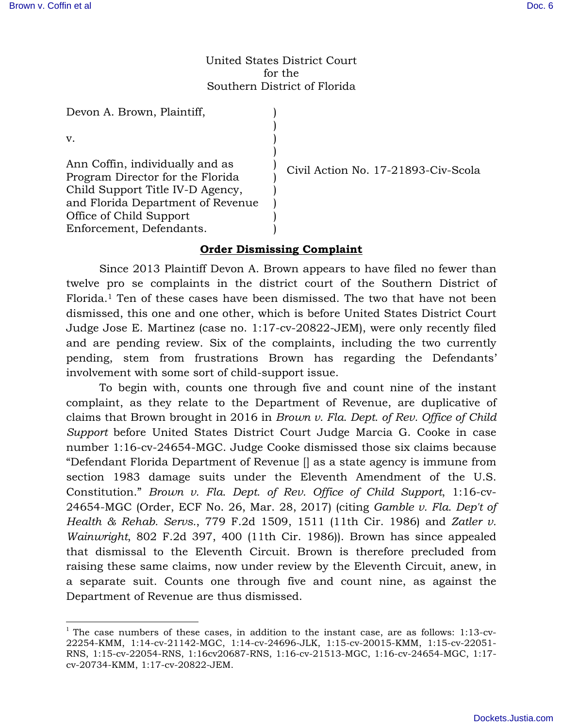## United States District Court for the Southern District of Florida

) ) ) ) ) ) ) ) ) )

Devon A. Brown, Plaintiff,

v.

 $\overline{a}$ 

Ann Coffin, individually and as Program Director for the Florida Child Support Title IV-D Agency, and Florida Department of Revenue Office of Child Support Enforcement, Defendants.

Civil Action No. 17-21893-Civ-Scola

## **Order Dismissing Complaint**

 Since 2013 Plaintiff Devon A. Brown appears to have filed no fewer than twelve pro se complaints in the district court of the Southern District of Florida.1 Ten of these cases have been dismissed. The two that have not been dismissed, this one and one other, which is before United States District Court Judge Jose E. Martinez (case no. 1:17-cv-20822-JEM), were only recently filed and are pending review. Six of the complaints, including the two currently pending, stem from frustrations Brown has regarding the Defendants' involvement with some sort of child-support issue.

 To begin with, counts one through five and count nine of the instant complaint, as they relate to the Department of Revenue, are duplicative of claims that Brown brought in 2016 in *Brown v. Fla. Dept. of Rev. Office of Child Support* before United States District Court Judge Marcia G. Cooke in case number 1:16-cv-24654-MGC. Judge Cooke dismissed those six claims because "Defendant Florida Department of Revenue [] as a state agency is immune from section 1983 damage suits under the Eleventh Amendment of the U.S. Constitution." *Brown v. Fla. Dept. of Rev. Office of Child Support*, 1:16-cv-24654-MGC (Order, ECF No. 26, Mar. 28, 2017) (citing *Gamble v. Fla. Dep't of Health & Rehab. Servs.*, 779 F.2d 1509, 1511 (11th Cir. 1986) and *Zatler v. Wainwright*, 802 F.2d 397, 400 (11th Cir. 1986)). Brown has since appealed that dismissal to the Eleventh Circuit. Brown is therefore precluded from raising these same claims, now under review by the Eleventh Circuit, anew, in a separate suit. Counts one through five and count nine, as against the Department of Revenue are thus dismissed.

 $1$  The case numbers of these cases, in addition to the instant case, are as follows: 1:13-cv-22254-KMM, 1:14-cv-21142-MGC, 1:14-cv-24696-JLK, 1:15-cv-20015-KMM, 1:15-cv-22051- RNS, 1:15-cv-22054-RNS, 1:16cv20687-RNS, 1:16-cv-21513-MGC, 1:16-cv-24654-MGC, 1:17 cv-20734-KMM, 1:17-cv-20822-JEM.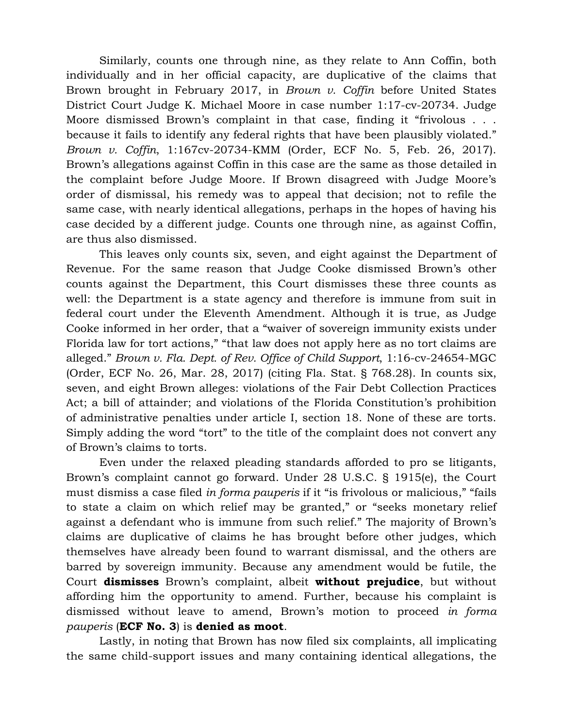Similarly, counts one through nine, as they relate to Ann Coffin, both individually and in her official capacity, are duplicative of the claims that Brown brought in February 2017, in *Brown v. Coffin* before United States District Court Judge K. Michael Moore in case number 1:17-cv-20734. Judge Moore dismissed Brown's complaint in that case, finding it "frivolous . . . because it fails to identify any federal rights that have been plausibly violated." *Brown v. Coffin*, 1:167cv-20734-KMM (Order, ECF No. 5, Feb. 26, 2017). Brown's allegations against Coffin in this case are the same as those detailed in the complaint before Judge Moore. If Brown disagreed with Judge Moore's order of dismissal, his remedy was to appeal that decision; not to refile the same case, with nearly identical allegations, perhaps in the hopes of having his case decided by a different judge. Counts one through nine, as against Coffin, are thus also dismissed.

 This leaves only counts six, seven, and eight against the Department of Revenue. For the same reason that Judge Cooke dismissed Brown's other counts against the Department, this Court dismisses these three counts as well: the Department is a state agency and therefore is immune from suit in federal court under the Eleventh Amendment. Although it is true, as Judge Cooke informed in her order, that a "waiver of sovereign immunity exists under Florida law for tort actions," "that law does not apply here as no tort claims are alleged." *Brown v. Fla. Dept. of Rev. Office of Child Support*, 1:16-cv-24654-MGC (Order, ECF No. 26, Mar. 28, 2017) (citing Fla. Stat. § 768.28). In counts six, seven, and eight Brown alleges: violations of the Fair Debt Collection Practices Act; a bill of attainder; and violations of the Florida Constitution's prohibition of administrative penalties under article I, section 18. None of these are torts. Simply adding the word "tort" to the title of the complaint does not convert any of Brown's claims to torts.

 Even under the relaxed pleading standards afforded to pro se litigants, Brown's complaint cannot go forward. Under 28 U.S.C. § 1915(e), the Court must dismiss a case filed *in forma pauperis* if it "is frivolous or malicious," "fails to state a claim on which relief may be granted," or "seeks monetary relief against a defendant who is immune from such relief." The majority of Brown's claims are duplicative of claims he has brought before other judges, which themselves have already been found to warrant dismissal, and the others are barred by sovereign immunity. Because any amendment would be futile, the Court **dismisses** Brown's complaint, albeit **without prejudice**, but without affording him the opportunity to amend. Further, because his complaint is dismissed without leave to amend, Brown's motion to proceed *in forma pauperis* (**ECF No. 3**) is **denied as moot**.

Lastly, in noting that Brown has now filed six complaints, all implicating the same child-support issues and many containing identical allegations, the